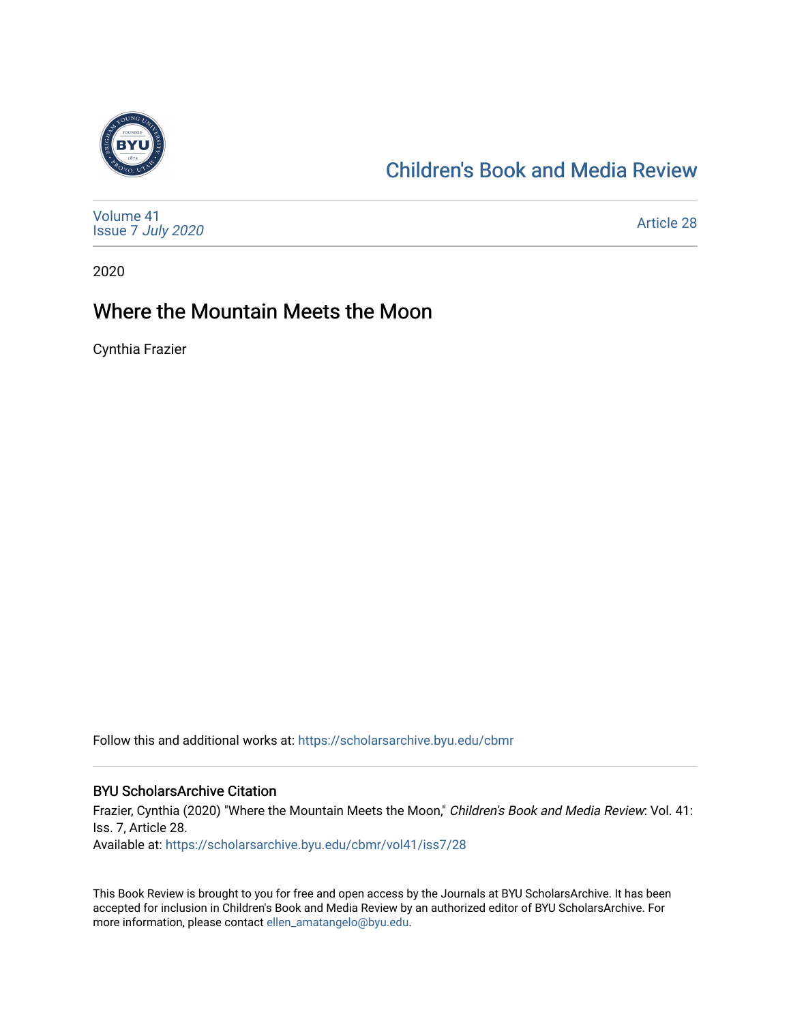

# [Children's Book and Media Review](https://scholarsarchive.byu.edu/cbmr)

| Volume 41<br>Issue 7 July 2020 | <b>Article 28</b> |
|--------------------------------|-------------------|
|--------------------------------|-------------------|

2020

# Where the Mountain Meets the Moon

Cynthia Frazier

Follow this and additional works at: [https://scholarsarchive.byu.edu/cbmr](https://scholarsarchive.byu.edu/cbmr?utm_source=scholarsarchive.byu.edu%2Fcbmr%2Fvol41%2Fiss7%2F28&utm_medium=PDF&utm_campaign=PDFCoverPages) 

#### BYU ScholarsArchive Citation

Frazier, Cynthia (2020) "Where the Mountain Meets the Moon," Children's Book and Media Review: Vol. 41: Iss. 7, Article 28. Available at: [https://scholarsarchive.byu.edu/cbmr/vol41/iss7/28](https://scholarsarchive.byu.edu/cbmr/vol41/iss7/28?utm_source=scholarsarchive.byu.edu%2Fcbmr%2Fvol41%2Fiss7%2F28&utm_medium=PDF&utm_campaign=PDFCoverPages)

This Book Review is brought to you for free and open access by the Journals at BYU ScholarsArchive. It has been accepted for inclusion in Children's Book and Media Review by an authorized editor of BYU ScholarsArchive. For more information, please contact [ellen\\_amatangelo@byu.edu.](mailto:ellen_amatangelo@byu.edu)